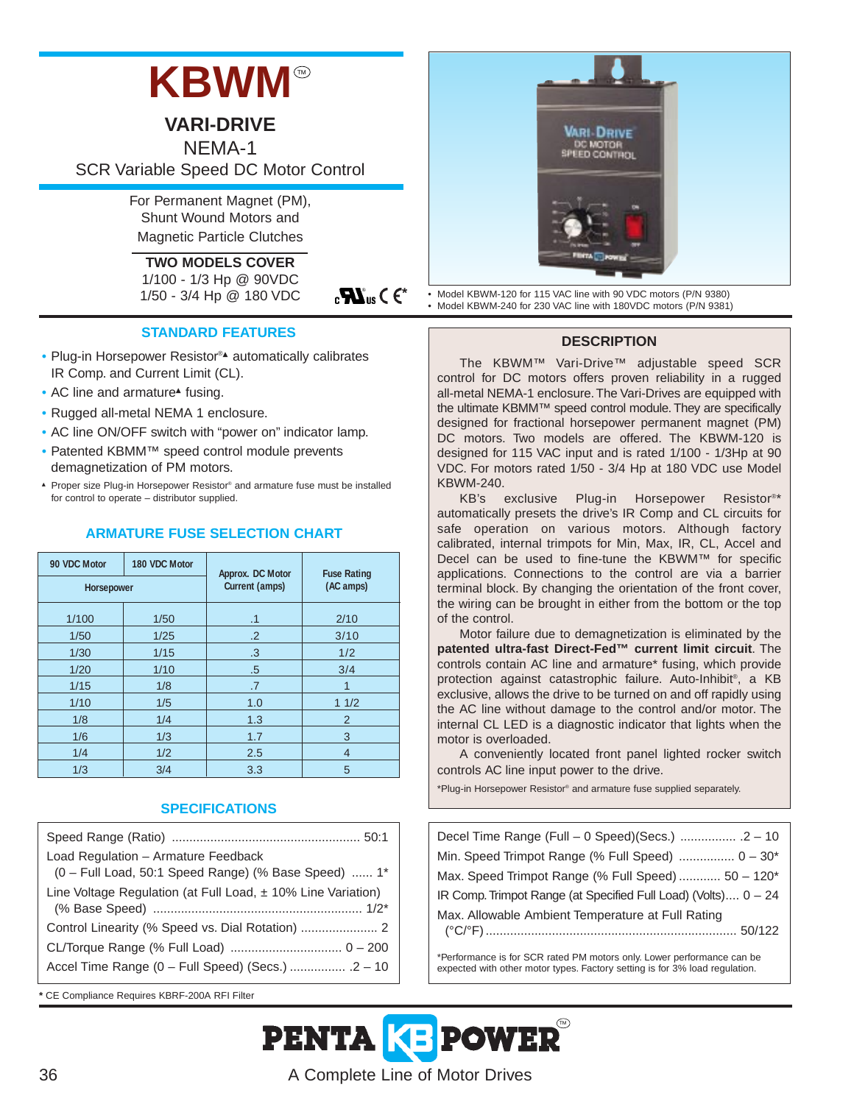# **KBWM**

**VARI-DRIVE**

NEMA-1 SCR Variable Speed DC Motor Control

> For Permanent Magnet (PM), Shunt Wound Motors and Magnetic Particle Clutches

**TWO MODELS COVER** 1/100 - 1/3 Hp @ 90VDC 1/50 - 3/4 Hp @ 180 VDC

 $_{c}$ **W**<sub>us</sub>  $\in$   $\epsilon$ <sup>\*</sup>

### **STANDARD FEATURES**

- Plug-in Horsepower Resistor®▲ automatically calibrates IR Comp. and Current Limit (CL).
- AC line and armature<sup> $\triangle$ </sup> fusing.
- Rugged all-metal NEMA 1 enclosure.
- AC line ON/OFF switch with "power on" indicator lamp.
- Patented KBMM™ speed control module prevents demagnetization of PM motors.
- ▲ Proper size Plug-in Horsepower Resistor® and armature fuse must be installed for control to operate – distributor supplied.

## **ARMATURE FUSE SELECTION CHART**

| 90 VDC Motor | 180 VDC Motor | Approx. DC Motor | <b>Fuse Rating</b> |  |
|--------------|---------------|------------------|--------------------|--|
| Horsepower   |               | Current (amps)   | (AC amps)          |  |
| 1/100        | 1/50          | .1               | 2/10               |  |
| 1/50         | 1/25          | $\cdot$ .2       | 3/10               |  |
| 1/30         | 1/15          | .3               | 1/2                |  |
| 1/20         | 1/10          | .5               | 3/4                |  |
| 1/15         | 1/8           | .7               | 1                  |  |
| 1/10         | 1/5           | 1.0              | 11/2               |  |
| 1/8          | 1/4           | 1.3              | 2                  |  |
| 1/6          | 1/3           | 1.7              | 3                  |  |
| 1/4          | 1/2           | 2.5              | $\overline{4}$     |  |
| 1/3          | 3/4           | 3.3              | 5                  |  |

## **SPECIFICATIONS**

| Load Regulation - Armature Feedback                              |
|------------------------------------------------------------------|
| (0 - Full Load, 50:1 Speed Range) (% Base Speed)  1*             |
| Line Voltage Regulation (at Full Load, $\pm$ 10% Line Variation) |
| Control Linearity (% Speed vs. Dial Rotation)  2                 |
|                                                                  |
|                                                                  |

**\*** CE Compliance Requires KBRF-200A RFI Filter



• Model KBWM-120 for 115 VAC line with 90 VDC motors (P/N 9380) • Model KBWM-240 for 230 VAC line with 180VDC motors (P/N 9381)

#### **DESCRIPTION**

The KBWM™ Vari-Drive™ adjustable speed SCR control for DC motors offers proven reliability in a rugged all-metal NEMA-1 enclosure. The Vari-Drives are equipped with the ultimate KBMM™ speed control module. They are specifically designed for fractional horsepower permanent magnet (PM) DC motors. Two models are offered. The KBWM-120 is designed for 115 VAC input and is rated 1/100 - 1/3Hp at 90 VDC. For motors rated 1/50 - 3/4 Hp at 180 VDC use Model KBWM-240.

KB's exclusive Plug-in Horsepower Resistor®\* automatically presets the drive's IR Comp and CL circuits for safe operation on various motors. Although factory calibrated, internal trimpots for Min, Max, IR, CL, Accel and Decel can be used to fine-tune the KBWM™ for specific applications. Connections to the control are via a barrier terminal block. By changing the orientation of the front cover, the wiring can be brought in either from the bottom or the top of the control.

Motor failure due to demagnetization is eliminated by the **patented ultra-fast Direct-Fed™ current limit circuit**. The controls contain AC line and armature\* fusing, which provide protection against catastrophic failure. Auto-Inhibit®, a KB exclusive, allows the drive to be turned on and off rapidly using the AC line without damage to the control and/or motor. The internal CL LED is a diagnostic indicator that lights when the motor is overloaded.

A conveniently located front panel lighted rocker switch controls AC line input power to the drive.

\*Plug-in Horsepower Resistor® and armature fuse supplied separately.

| Decel Time Range (Full - 0 Speed)(Secs.)  2 - 10               |
|----------------------------------------------------------------|
| Min. Speed Trimpot Range (% Full Speed)  0 - 30*               |
| Max. Speed Trimpot Range (% Full Speed)  50 - 120*             |
| IR Comp. Trimpot Range (at Specified Full Load) (Volts) 0 - 24 |
| Max. Allowable Ambient Temperature at Full Rating              |

\*Performance is for SCR rated PM motors only. Lower performance can be expected with other motor types. Factory setting is for 3% load regulation.